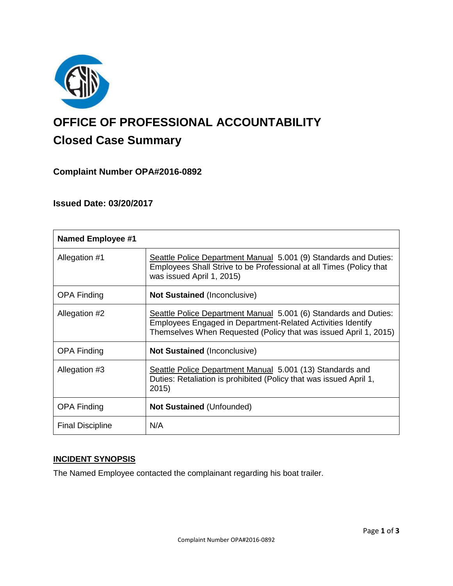

# **OFFICE OF PROFESSIONAL ACCOUNTABILITY Closed Case Summary**

## **Complaint Number OPA#2016-0892**

## **Issued Date: 03/20/2017**

| <b>Named Employee #1</b> |                                                                                                                                                                                                     |
|--------------------------|-----------------------------------------------------------------------------------------------------------------------------------------------------------------------------------------------------|
| Allegation #1            | Seattle Police Department Manual 5.001 (9) Standards and Duties:<br>Employees Shall Strive to be Professional at all Times (Policy that<br>was issued April 1, 2015)                                |
| <b>OPA Finding</b>       | <b>Not Sustained (Inconclusive)</b>                                                                                                                                                                 |
| Allegation #2            | Seattle Police Department Manual 5.001 (6) Standards and Duties:<br>Employees Engaged in Department-Related Activities Identify<br>Themselves When Requested (Policy that was issued April 1, 2015) |
| <b>OPA Finding</b>       | <b>Not Sustained (Inconclusive)</b>                                                                                                                                                                 |
| Allegation #3            | Seattle Police Department Manual 5.001 (13) Standards and<br>Duties: Retaliation is prohibited (Policy that was issued April 1,<br>2015)                                                            |
| <b>OPA Finding</b>       | <b>Not Sustained (Unfounded)</b>                                                                                                                                                                    |
| <b>Final Discipline</b>  | N/A                                                                                                                                                                                                 |

## **INCIDENT SYNOPSIS**

The Named Employee contacted the complainant regarding his boat trailer.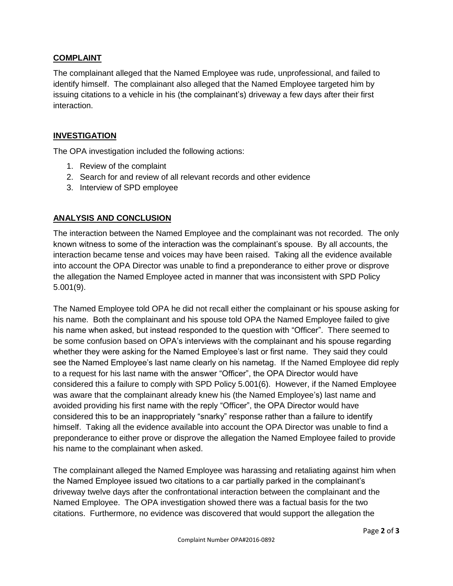## **COMPLAINT**

The complainant alleged that the Named Employee was rude, unprofessional, and failed to identify himself. The complainant also alleged that the Named Employee targeted him by issuing citations to a vehicle in his (the complainant's) driveway a few days after their first interaction.

## **INVESTIGATION**

The OPA investigation included the following actions:

- 1. Review of the complaint
- 2. Search for and review of all relevant records and other evidence
- 3. Interview of SPD employee

## **ANALYSIS AND CONCLUSION**

The interaction between the Named Employee and the complainant was not recorded. The only known witness to some of the interaction was the complainant's spouse. By all accounts, the interaction became tense and voices may have been raised. Taking all the evidence available into account the OPA Director was unable to find a preponderance to either prove or disprove the allegation the Named Employee acted in manner that was inconsistent with SPD Policy 5.001(9).

The Named Employee told OPA he did not recall either the complainant or his spouse asking for his name. Both the complainant and his spouse told OPA the Named Employee failed to give his name when asked, but instead responded to the question with "Officer". There seemed to be some confusion based on OPA's interviews with the complainant and his spouse regarding whether they were asking for the Named Employee's last or first name. They said they could see the Named Employee's last name clearly on his nametag. If the Named Employee did reply to a request for his last name with the answer "Officer", the OPA Director would have considered this a failure to comply with SPD Policy 5.001(6). However, if the Named Employee was aware that the complainant already knew his (the Named Employee's) last name and avoided providing his first name with the reply "Officer", the OPA Director would have considered this to be an inappropriately "snarky" response rather than a failure to identify himself. Taking all the evidence available into account the OPA Director was unable to find a preponderance to either prove or disprove the allegation the Named Employee failed to provide his name to the complainant when asked.

The complainant alleged the Named Employee was harassing and retaliating against him when the Named Employee issued two citations to a car partially parked in the complainant's driveway twelve days after the confrontational interaction between the complainant and the Named Employee. The OPA investigation showed there was a factual basis for the two citations. Furthermore, no evidence was discovered that would support the allegation the